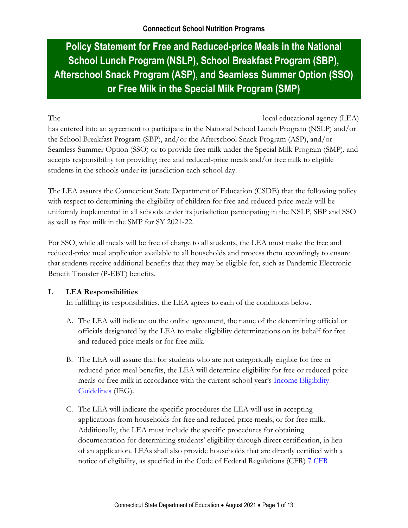# **Policy Statement for Free and Reduced-price Meals in the National School Lunch Program (NSLP), School Breakfast Program (SBP), Afterschool Snack Program (ASP), and Seamless Summer Option (SSO) or Free Milk in the Special Milk Program (SMP)**

The local educational agency (LEA) has entered into an agreement to participate in the National School Lunch Program (NSLP) and/or the School Breakfast Program (SBP), and/or the Afterschool Snack Program (ASP), and/or Seamless Summer Option (SSO) or to provide free milk under the Special Milk Program (SMP), and accepts responsibility for providing free and reduced-price meals and/or free milk to eligible students in the schools under its jurisdiction each school day.

The LEA assures the Connecticut State Department of Education (CSDE) that the following policy with respect to determining the eligibility of children for free and reduced-price meals will be uniformly implemented in all schools under its jurisdiction participating in the NSLP, SBP and SSO as well as free milk in the SMP for SY 2021-22.

For SSO, while all meals will be free of charge to all students, the LEA must make the free and reduced-price meal application available to all households and process them accordingly to ensure that students receive additional benefits that they may be eligible for, such as Pandemic Electronic Benefit Transfer (P-EBT) benefits.

### **I. LEA Responsibilities**

In fulfilling its responsibilities, the LEA agrees to each of the conditions below.

- A. The LEA will indicate on the online agreement, the name of the determining official or officials designated by the LEA to make eligibility determinations on its behalf for free and reduced-price meals or for free milk.
- B. The LEA will assure that for students who are not categorically eligible for free or reduced-price meal benefits, the LEA will determine eligibility for free or reduced-price meals or free milk in accordance with the current school year's [Income Eligibility](https://portal.ct.gov/SDE/Nutrition/Income-Guidelines-for-Child-Nutrition-Programs)  [Guidelines](https://portal.ct.gov/SDE/Nutrition/Income-Guidelines-for-Child-Nutrition-Programs) (IEG).
- C. The LEA will indicate the specific procedures the LEA will use in accepting applications from households for free and reduced-price meals, or for free milk. Additionally, the LEA must include the specific procedures for obtaining documentation for determining students' eligibility through direct certification, in lieu of an application. LEAs shall also provide households that are directly certified with a notice of eligibility, as specified in the Code of Federal Regulations (CFR) [7 CFR](https://www.ecfr.gov/cgi-bin/text-idx?SID=4c211a738d6109939c6054a6286ac109&mc=true&node=pt7.4.245&rgn=div5#se7.4.245_16)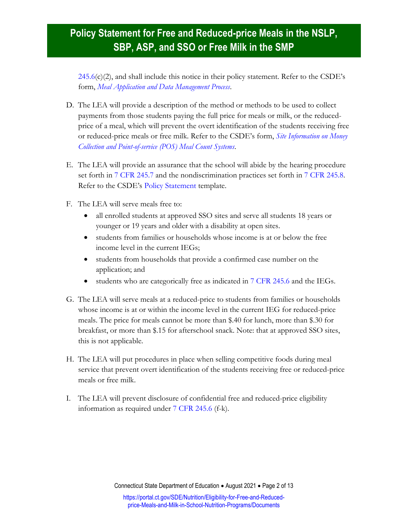[245.6\(](https://www.ecfr.gov/cgi-bin/text-idx?SID=4c211a738d6109939c6054a6286ac109&mc=true&node=pt7.4.245&rgn=div5#se7.4.245_16)c)(2), and shall include this notice in their policy statement. Refer to the CSDE's form, *[Meal Application and Data Management Process](https://portal.ct.gov/-/media/SDE/Nutrition/NSLP/Forms/MealCount/Meal_Application_Data_Management_Process_SNP.docx)*.

- D. The LEA will provide a description of the method or methods to be used to collect payments from those students paying the full price for meals or milk, or the reducedprice of a meal, which will prevent the overt identification of the students receiving free or reduced-price meals or free milk. Refer to the CSDE's form, *[Site Information on Money](https://portal.ct.gov/-/media/SDE/Nutrition/NSLP/Forms/MealCount/Site_Information_Money_Collection_POS_Meal_Counts_SNP.docx)  [Collection and Point-of-service \(POS\) Meal Count Systems](https://portal.ct.gov/-/media/SDE/Nutrition/NSLP/Forms/MealCount/Site_Information_Money_Collection_POS_Meal_Counts_SNP.docx)*.
- E. The LEA will provide an assurance that the school will abide by the hearing procedure set forth in [7 CFR 245.7](https://www.ecfr.gov/cgi-bin/text-idx?SID=4c211a738d6109939c6054a6286ac109&mc=true&node=pt7.4.245&rgn=div5#se7.4.245_17) and the nondiscrimination practices set forth in [7 CFR 245.8.](https://www.ecfr.gov/cgi-bin/text-idx?SID=4c211a738d6109939c6054a6286ac109&mc=true&node=pt7.4.245&rgn=div5#se7.4.245_18) Refer to the CSDE's [Policy Statement](https://portal.ct.gov/SDE/Lists/Forms-School-Nutrition-Programs/Policy-Statement) template.
- F. The LEA will serve meals free to:
	- all enrolled students at approved SSO sites and serve all students 18 years or younger or 19 years and older with a disability at open sites.
	- students from families or households whose income is at or below the free income level in the current IEGs;
	- students from households that provide a confirmed case number on the application; and
	- students who are categorically free as indicated in [7 CFR 245.6](https://www.ecfr.gov/cgi-bin/text-idx?SID=4c211a738d6109939c6054a6286ac109&mc=true&node=pt7.4.245&rgn=div5#se7.4.245_16) and the IEGs.
- G. The LEA will serve meals at a reduced-price to students from families or households whose income is at or within the income level in the current IEG for reduced-price meals. The price for meals cannot be more than \$.40 for lunch, more than \$.30 for breakfast, or more than \$.15 for afterschool snack. Note: that at approved SSO sites, this is not applicable.
- H. The LEA will put procedures in place when selling competitive foods during meal service that prevent overt identification of the students receiving free or reduced-price meals or free milk.
- I. The LEA will prevent disclosure of confidential free and reduced-price eligibility information as required under [7 CFR 245.6](https://www.ecfr.gov/cgi-bin/text-idx?SID=4c211a738d6109939c6054a6286ac109&mc=true&node=pt7.4.245&rgn=div5#se7.4.245_16) (f-k).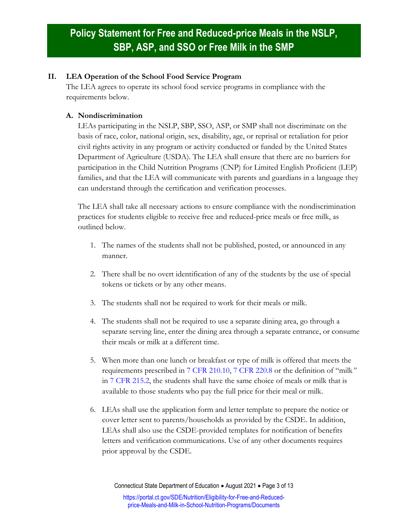#### **II. LEA Operation of the School Food Service Program**

The LEA agrees to operate its school food service programs in compliance with the requirements below.

### **A. Nondiscrimination**

LEAs participating in the NSLP, SBP, SSO, ASP, or SMP shall not discriminate on the basis of race, color, national origin, sex, disability, age, or reprisal or retaliation for prior civil rights activity in any program or activity conducted or funded by the United States Department of Agriculture (USDA). The LEA shall ensure that there are no barriers for participation in the Child Nutrition Programs (CNP) for Limited English Proficient (LEP) families, and that the LEA will communicate with parents and guardians in a language they can understand through the certification and verification processes.

The LEA shall take all necessary actions to ensure compliance with the nondiscrimination practices for students eligible to receive free and reduced-price meals or free milk, as outlined below.

- 1. The names of the students shall not be published, posted, or announced in any manner.
- 2. There shall be no overt identification of any of the students by the use of special tokens or tickets or by any other means.
- 3. The students shall not be required to work for their meals or milk.
- 4. The students shall not be required to use a separate dining area, go through a separate serving line, enter the dining area through a separate entrance, or consume their meals or milk at a different time.
- 5. When more than one lunch or breakfast or type of milk is offered that meets the requirements prescribed in [7 CFR 210.10,](https://www.ecfr.gov/cgi-bin/text-idx?SID=4c211a738d6109939c6054a6286ac109&mc=true&node=pt7.4.210&rgn=div5#se7.4.210_110) [7 CFR 220.8](https://www.ecfr.gov/cgi-bin/retrieveECFR?gp=1&SID=1efda750af767569cda912c147528a21&ty=HTML&h=L&mc=true&r=PART&n=pt7.4.220#se7.4.220_18) or the definition of "milk*"* in [7 CFR 215.2,](https://www.ecfr.gov/cgi-bin/retrieveECFR?gp=1&SID=1efda750af767569cda912c147528a21&ty=HTML&h=L&mc=true&r=PART&n=pt7.4.215#se7.4.215_12) the students shall have the same choice of meals or milk that is available to those students who pay the full price for their meal or milk.
- 6. LEAs shall use the application form and letter template to prepare the notice or cover letter sent to parents/households as provided by the CSDE. In addition, LEAs shall also use the CSDE-provided templates for notification of benefits letters and verification communications. Use of any other documents requires prior approval by the CSDE.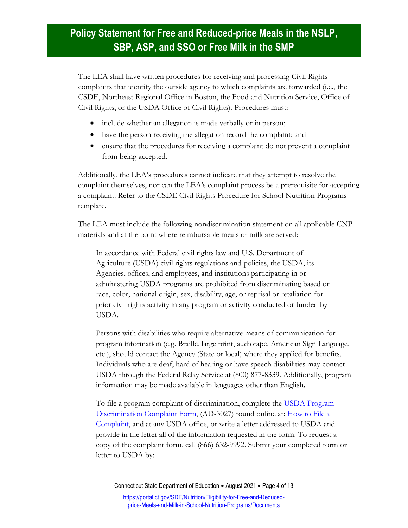The LEA shall have written procedures for receiving and processing Civil Rights complaints that identify the outside agency to which complaints are forwarded (i.e., the CSDE, Northeast Regional Office in Boston, the Food and Nutrition Service, Office of Civil Rights, or the USDA Office of Civil Rights). Procedures must:

- include whether an allegation is made verbally or in person;
- have the person receiving the allegation record the complaint; and
- ensure that the procedures for receiving a complaint do not prevent a complaint from being accepted.

Additionally, the LEA's procedures cannot indicate that they attempt to resolve the complaint themselves, nor can the LEA's complaint process be a prerequisite for accepting a complaint. Refer to the CSDE Civil Rights Procedure for School Nutrition Programs template.

The LEA must include the following nondiscrimination statement on all applicable CNP materials and at the point where reimbursable meals or milk are served:

In accordance with Federal civil rights law and U.S. Department of Agriculture (USDA) civil rights regulations and policies, the USDA, its Agencies, offices, and employees, and institutions participating in or administering USDA programs are prohibited from discriminating based on race, color, national origin, sex, disability, age, or reprisal or retaliation for prior civil rights activity in any program or activity conducted or funded by USDA.

Persons with disabilities who require alternative means of communication for program information (e.g. Braille, large print, audiotape, American Sign Language, etc.), should contact the Agency (State or local) where they applied for benefits. Individuals who are deaf, hard of hearing or have speech disabilities may contact USDA through the Federal Relay Service at (800) 877-8339. Additionally, program information may be made available in languages other than English.

To file a program complaint of discrimination, complete the [USDA Program](https://www.ocio.usda.gov/sites/default/files/docs/2012/Complain_combined_6_8_12.pdf)  [Discrimination Complaint Form,](https://www.ocio.usda.gov/sites/default/files/docs/2012/Complain_combined_6_8_12.pdf) (AD-3027) found online at: [How to File a](https://www.usda.gov/oascr/how-to-file-a-program-discrimination-complaint)  [Complaint,](https://www.usda.gov/oascr/how-to-file-a-program-discrimination-complaint) and at any USDA office, or write a letter addressed to USDA and provide in the letter all of the information requested in the form. To request a copy of the complaint form, call (866) 632-9992. Submit your completed form or letter to USDA by: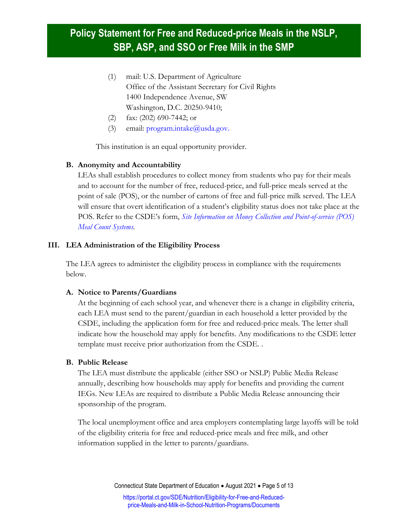- (1) mail: U.S. Department of Agriculture Office of the Assistant Secretary for Civil Rights 1400 Independence Avenue, SW Washington, D.C. 20250-9410;
- (2) fax: (202) 690-7442; or
- (3) email:  $program.intake@usda.gov$ .

This institution is an equal opportunity provider.

#### **B. Anonymity and Accountability**

LEAs shall establish procedures to collect money from students who pay for their meals and to account for the number of free, reduced-price, and full-price meals served at the point of sale (POS), or the number of cartons of free and full-price milk served. The LEA will ensure that overt identification of a student's eligibility status does not take place at the POS. Refer to the CSDE's form, *[Site Information on Money Collection and Point-of-service \(POS\)](https://portal.ct.gov/-/media/SDE/Nutrition/NSLP/Forms/MealCount/Site_Information_Money_Collection_POS_Meal_Counts_SNP.docx)  [Meal Count Systems.](https://portal.ct.gov/-/media/SDE/Nutrition/NSLP/Forms/MealCount/Site_Information_Money_Collection_POS_Meal_Counts_SNP.docx)*

#### **III. LEA Administration of the Eligibility Process**

The LEA agrees to administer the eligibility process in compliance with the requirements below.

#### **A. Notice to Parents/Guardians**

At the beginning of each school year, and whenever there is a change in eligibility criteria, each LEA must send to the parent/guardian in each household a letter provided by the CSDE, including the application form for free and reduced-price meals. The letter shall indicate how the household may apply for benefits. Any modifications to the CSDE letter template must receive prior authorization from the CSDE. .

#### **B. Public Release**

The LEA must distribute the applicable (either SSO or NSLP) Public Media Release annually, describing how households may apply for benefits and providing the current IEGs. New LEAs are required to distribute a Public Media Release announcing their sponsorship of the program.

The local unemployment office and area employers contemplating large layoffs will be told of the eligibility criteria for free and reduced-price meals and free milk, and other information supplied in the letter to parents/guardians.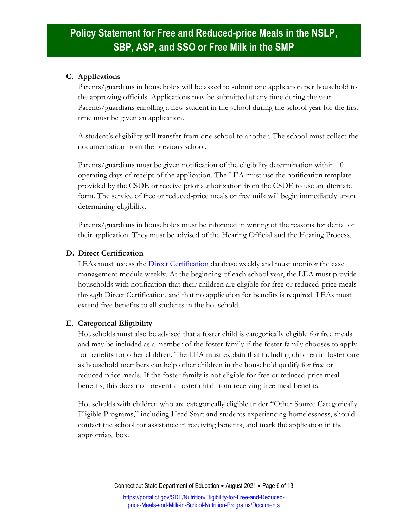#### **C. Applications**

Parents/guardians in households will be asked to submit one application per household to the approving officials. Applications may be submitted at any time during the year. Parents/guardians enrolling a new student in the school during the school year for the first time must be given an application.

A student's eligibility will transfer from one school to another. The school must collect the documentation from the previous school.

Parents/guardians must be given notification of the eligibility determination within 10 operating days of receipt of the application. The LEA must use the notification template provided by the CSDE or receive prior authorization from the CSDE to use an alternate form. The service of free or reduced-price meals or free milk will begin immediately upon determining eligibility.

Parents/guardians in households must be informed in writing of the reasons for denial of their application. They must be advised of the Hearing Official and the Hearing Process.

#### **D. Direct Certification**

LEAs must access the [Direct Certification](https://portal.ct.gov/SDE/Nutrition/Direct-Certification) database weekly and must monitor the case management module weekly. At the beginning of each school year, the LEA must provide households with notification that their children are eligible for free or reduced-price meals through Direct Certification, and that no application for benefits is required. LEAs must extend free benefits to all students in the household.

#### **E. Categorical Eligibility**

Households must also be advised that a foster child is categorically eligible for free meals and may be included as a member of the foster family if the foster family chooses to apply for benefits for other children. The LEA must explain that including children in foster care as household members can help other children in the household qualify for free or reduced-price meals. If the foster family is not eligible for free or reduced-price meal benefits, this does not prevent a foster child from receiving free meal benefits.

Households with children who are categorically eligible under "Other Source Categorically Eligible Programs," including Head Start and students experiencing homelessness, should contact the school for assistance in receiving benefits, and mark the application in the appropriate box.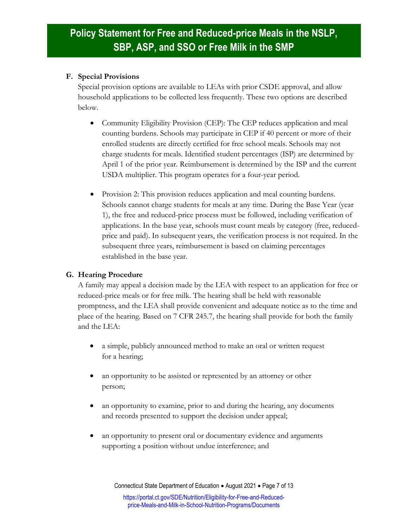#### **F. Special Provisions**

Special provision options are available to LEAs with prior CSDE approval, and allow household applications to be collected less frequently. These two options are described below.

- Community Eligibility Provision (CEP): The CEP reduces application and meal counting burdens. Schools may participate in CEP if 40 percent or more of their enrolled students are directly certified for free school meals. Schools may not charge students for meals. Identified student percentages (ISP) are determined by April 1 of the prior year. Reimbursement is determined by the ISP and the current USDA multiplier. This program operates for a four-year period.
- Provision 2: This provision reduces application and meal counting burdens. Schools cannot charge students for meals at any time. During the Base Year (year 1), the free and reduced-price process must be followed, including verification of applications. In the base year, schools must count meals by category (free, reducedprice and paid). In subsequent years, the verification process is not required. In the subsequent three years, reimbursement is based on claiming percentages established in the base year.

### **G. Hearing Procedure**

A family may appeal a decision made by the LEA with respect to an application for free or reduced-price meals or for free milk. The hearing shall be held with reasonable promptness, and the LEA shall provide convenient and adequate notice as to the time and place of the hearing. Based on [7 CFR 245.7,](https://www.ecfr.gov/cgi-bin/text-idx?SID=4c211a738d6109939c6054a6286ac109&mc=true&node=pt7.4.245&rgn=div5#se7.4.245_17) the hearing shall provide for both the family and the LEA:

- a simple, publicly announced method to make an oral or written request for a hearing;
- an opportunity to be assisted or represented by an attorney or other person;
- an opportunity to examine, prior to and during the hearing, any documents and records presented to support the decision under appeal;
- an opportunity to present oral or documentary evidence and arguments supporting a position without undue interference; and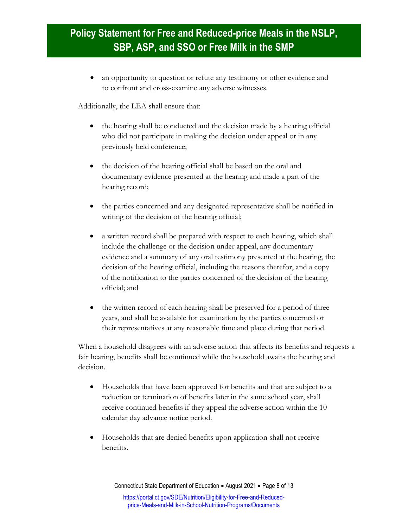an opportunity to question or refute any testimony or other evidence and to confront and cross-examine any adverse witnesses.

Additionally, the LEA shall ensure that:

- the hearing shall be conducted and the decision made by a hearing official who did not participate in making the decision under appeal or in any previously held conference;
- the decision of the hearing official shall be based on the oral and documentary evidence presented at the hearing and made a part of the hearing record;
- the parties concerned and any designated representative shall be notified in writing of the decision of the hearing official;
- a written record shall be prepared with respect to each hearing, which shall include the challenge or the decision under appeal, any documentary evidence and a summary of any oral testimony presented at the hearing, the decision of the hearing official, including the reasons therefor, and a copy of the notification to the parties concerned of the decision of the hearing official; and
- the written record of each hearing shall be preserved for a period of three years, and shall be available for examination by the parties concerned or their representatives at any reasonable time and place during that period.

When a household disagrees with an adverse action that affects its benefits and requests a fair hearing, benefits shall be continued while the household awaits the hearing and decision.

- Households that have been approved for benefits and that are subject to a reduction or termination of benefits later in the same school year, shall receive continued benefits if they appeal the adverse action within the 10 calendar day advance notice period.
- Households that are denied benefits upon application shall not receive benefits.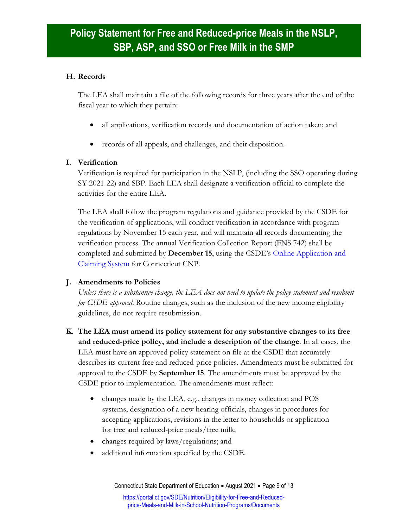#### **H. Records**

The LEA shall maintain a file of the following records for three years after the end of the fiscal year to which they pertain:

- all applications, verification records and documentation of action taken; and
- records of all appeals, and challenges, and their disposition.

### **I. Verification**

Verification is required for participation in the NSLP, (including the SSO operating during SY 2021-22) and SBP. Each LEA shall designate a verification official to complete the activities for the entire LEA.

The LEA shall follow the program regulations and guidance provided by the CSDE for the verification of applications, will conduct verification in accordance with program regulations by November 15 each year, and will maintain all records documenting the verification process. The annual Verification Collection Report (FNS 742) shall be completed and submitted by **December 15**, using the CSDE's [Online Application and](https://portal.ct.gov/SDE/Nutrition/CNP-System)  [Claiming System](https://portal.ct.gov/SDE/Nutrition/CNP-System) for Connecticut CNP.

### **J. Amendments to Policies**

*Unless there is a substantive change, the LEA does not need to update the policy statement and resubmit for CSDE approval*. Routine changes, such as the inclusion of the new income eligibility guidelines, do not require resubmission.

- **K. The LEA must amend its policy statement for any substantive changes to its free and reduced-price policy, and include a description of the change**. In all cases, the LEA must have an approved policy statement on file at the CSDE that accurately describes its current free and reduced-price policies. Amendments must be submitted for approval to the CSDE by **September 15**. The amendments must be approved by the CSDE prior to implementation. The amendments must reflect:
	- changes made by the LEA, e.g., changes in money collection and POS systems, designation of a new hearing officials, changes in procedures for accepting applications, revisions in the letter to households or application for free and reduced-price meals/free milk;
	- changes required by laws/regulations; and
	- additional information specified by the CSDE.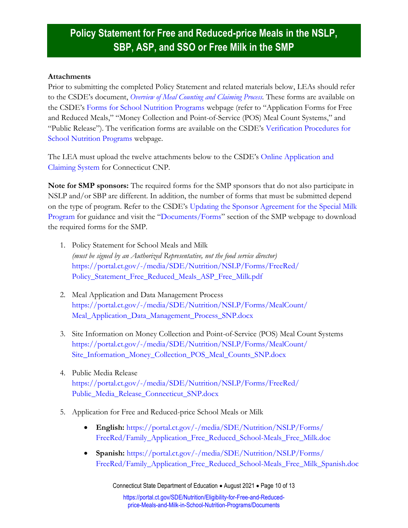#### **Attachments**

Prior to submitting the completed Policy Statement and related materials below, LEAs should refer to the CSDE's document, *[Overview of Meal Counting and Claiming Process.](https://portal.ct.gov/-/media/SDE/Nutrition/NSLP/Forms/MealCount/Overview_Meal_Counting_Claiming_SNP.pdf)* These forms are available on the CSDE's [Forms for School Nutrition Programs w](https://portal.ct.gov/SDE/Lists/Forms-School-Nutrition-Programs)ebpage (refer to "Application Forms for Free and Reduced Meals," "Money Collection and Point-of-Service (POS) Meal Count Systems," and "Public Release"). The verification forms are available on the CSDE's [Verification Procedures for](https://portal.ct.gov/SDE/Nutrition/Verification-Procedures-for-School-Nutrition-Programs)  [School Nutrition Programs](https://portal.ct.gov/SDE/Nutrition/Verification-Procedures-for-School-Nutrition-Programs) webpage.

The LEA must upload the twelve attachments below to the CSDE's [Online Application and](https://portal.ct.gov/SDE/Nutrition/CNP-System)  [Claiming System](https://portal.ct.gov/SDE/Nutrition/CNP-System) for Connecticut CNP.

**Note for SMP sponsors:** The required forms for the SMP sponsors that do not also participate in NSLP and/or SBP are different. In addition, the number of forms that must be submitted depend on the type of program. Refer to the CSDE's [Updating the Sponsor Agreement for the Special Milk](https://portal.ct.gov/-/media/SDE/Nutrition/SMP/Update_Sponsor_Agreement_SMP.pdf)  [Program](https://portal.ct.gov/-/media/SDE/Nutrition/SMP/Update_Sponsor_Agreement_SMP.pdf) for guidance and visit the "[Documents/Forms](https://portal.ct.gov/SDE/Nutrition/Special-Milk-Program/Documents)" section of the SMP webpage to download the required forms for the SMP.

- 1. Policy Statement for School Meals and Milk *(must be signed by an Authorized Representative, not the food service director)* [https://portal.ct.gov/-/media/SDE/Nutrition/NSLP/Forms/FreeRed/](https://portal.ct.gov/-/media/SDE/Nutrition/NSLP/Forms/FreeRed/Policy_Statement_Free_Reduced_Meals_ASP_Free_Milk.pdf) [Policy\\_Statement\\_Free\\_Reduced\\_Meals\\_ASP\\_Free\\_Milk.pdf](https://portal.ct.gov/-/media/SDE/Nutrition/NSLP/Forms/FreeRed/Policy_Statement_Free_Reduced_Meals_ASP_Free_Milk.pdf)
- 2. Meal Application and Data Management Process [https://portal.ct.gov/-/media/SDE/Nutrition/NSLP/Forms/MealCount/](https://portal.ct.gov/-/media/SDE/Nutrition/NSLP/Forms/MealCount/‌Meal_Application_Data_Management_Process_SNP.docx) [Meal\\_Application\\_Data\\_Management\\_Process\\_SNP.docx](https://portal.ct.gov/-/media/SDE/Nutrition/NSLP/Forms/MealCount/‌Meal_Application_Data_Management_Process_SNP.docx)
- 3. Site Information on Money Collection and Point-of-Service (POS) Meal Count Systems [https://portal.ct.gov/-/media/SDE/Nutrition/NSLP/Forms/MealCount/](https://portal.ct.gov/-/media/SDE/Nutrition/NSLP/Forms/‌MealCount/Site_Information_Money_Collection_POS_Meal_Counts_SNP.docx) [Site\\_Information\\_Money\\_Collection\\_POS\\_Meal\\_Counts\\_SNP.docx](https://portal.ct.gov/-/media/SDE/Nutrition/NSLP/Forms/‌MealCount/Site_Information_Money_Collection_POS_Meal_Counts_SNP.docx)
- 4. Public Media Release [https://portal.ct.gov/-/media/SDE/Nutrition/NSLP/Forms/FreeRed/](https://portal.ct.gov/-/media/SDE/Nutrition/NSLP/Forms/FreeRed/‌Public_Media_Release_Connecticut_SNP.docx) [Public\\_Media\\_Release\\_Connecticut\\_SNP.docx](https://portal.ct.gov/-/media/SDE/Nutrition/NSLP/Forms/FreeRed/‌Public_Media_Release_Connecticut_SNP.docx)
- 5. Application for Free and Reduced-price School Meals or Milk
	- **English:** [https://portal.ct.gov/-/media/SDE/Nutrition/NSLP/Forms/](https://portal.ct.gov/-/media/SDE/Nutrition/NSLP/Forms/‌FreeRed/Family_Application_Free_Reduced_School-Meals_Free_Milk.doc) [FreeRed/Family\\_Application\\_Free\\_Reduced\\_School-Meals\\_Free\\_Milk.doc](https://portal.ct.gov/-/media/SDE/Nutrition/NSLP/Forms/‌FreeRed/Family_Application_Free_Reduced_School-Meals_Free_Milk.doc)
	- **Spanish:** [https://portal.ct.gov/-/media/SDE/Nutrition/NSLP/Forms/](https://portal.ct.gov/-/media/SDE/Nutrition/NSLP/Forms/‌FreeRed/Family_Application_Free_Reduced_School-Meals_Free_Milk_Spanish.doc) [FreeRed/Family\\_Application\\_Free\\_Reduced\\_School-Meals\\_Free\\_Milk\\_Spanish.doc](https://portal.ct.gov/-/media/SDE/Nutrition/NSLP/Forms/‌FreeRed/Family_Application_Free_Reduced_School-Meals_Free_Milk_Spanish.doc)

Connecticut State Department of Education • August 2021 • Page 10 of 13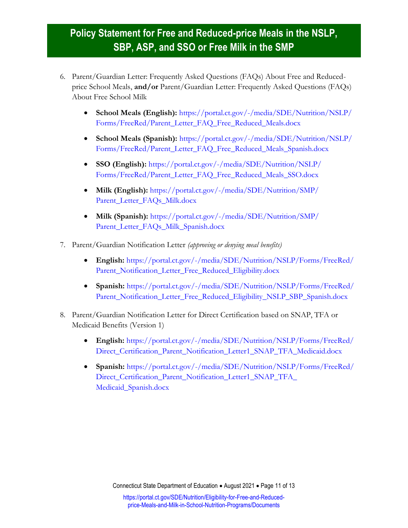- 6. Parent/Guardian Letter: Frequently Asked Questions (FAQs) About Free and Reducedprice School Meals, **and/or** Parent/Guardian Letter: Frequently Asked Questions (FAQs) About Free School Milk
	- **School Meals (English):** [https://portal.ct.gov/-/media/SDE/Nutrition/NSLP/](https://portal.ct.gov/-/media/SDE/Nutrition/NSLP/Forms/FreeRed/Parent_Letter_FAQ_Free_Reduced_Meals.docx) [Forms/FreeRed/Parent\\_Letter\\_FAQ\\_Free\\_Reduced\\_Meals.docx](https://portal.ct.gov/-/media/SDE/Nutrition/NSLP/Forms/FreeRed/Parent_Letter_FAQ_Free_Reduced_Meals.docx)
	- **School Meals (Spanish):** [https://portal.ct.gov/-/media/SDE/Nutrition/NSLP/](https://portal.ct.gov/-/media/SDE/Nutrition/NSLP/Forms/FreeRed/Parent_Letter_FAQ_Free_Reduced_Meals_Spanish.docx) [Forms/FreeRed/Parent\\_Letter\\_FAQ\\_Free\\_Reduced\\_Meals\\_Spanish.docx](https://portal.ct.gov/-/media/SDE/Nutrition/NSLP/Forms/FreeRed/Parent_Letter_FAQ_Free_Reduced_Meals_Spanish.docx)
	- **SSO (English):** [https://portal.ct.gov/-/media/SDE/Nutrition/NSLP/](https://portal.ct.gov/-/media/SDE/Nutrition/NSLP/Forms/FreeRed/Parent_Letter_FAQ_Free_Reduced_Meals_SSO.docx) [Forms/FreeRed/Parent\\_Letter\\_FAQ\\_Free\\_Reduced\\_Meals\\_SSO.docx](https://portal.ct.gov/-/media/SDE/Nutrition/NSLP/Forms/FreeRed/Parent_Letter_FAQ_Free_Reduced_Meals_SSO.docx)
	- **Milk (English):** [https://portal.ct.gov/-/media/SDE/Nutrition/SMP/](https://portal.ct.gov/-/media/SDE/Nutrition/SMP/Parent_Letter_FAQs_Milk.docx) [Parent\\_Letter\\_FAQs\\_Milk.docx](https://portal.ct.gov/-/media/SDE/Nutrition/SMP/Parent_Letter_FAQs_Milk.docx)
	- **Milk (Spanish):** [https://portal.ct.gov/-/media/SDE/Nutrition/SMP/](https://portal.ct.gov/-/media/SDE/Nutrition/SMP/Parent_Letter_FAQs_Milk_Spanish.docx) [Parent\\_Letter\\_FAQs\\_Milk\\_Spanish.docx](https://portal.ct.gov/-/media/SDE/Nutrition/SMP/Parent_Letter_FAQs_Milk_Spanish.docx)
- 7. Parent/Guardian Notification Letter *(approving or denying meal benefits)*
	- **English:** [https://portal.ct.gov/-/media/SDE/Nutrition/NSLP/Forms/FreeRed/](https://portal.ct.gov/-/media/SDE/Nutrition/NSLP/Forms/‌FreeRed/Parent_Notification_Letter_Free_Reduced_Eligibility.docx) [Parent\\_Notification\\_Letter\\_Free\\_Reduced\\_Eligibility.docx](https://portal.ct.gov/-/media/SDE/Nutrition/NSLP/Forms/‌FreeRed/Parent_Notification_Letter_Free_Reduced_Eligibility.docx)
	- **Spanish:** [https://portal.ct.gov/-/media/SDE/Nutrition/NSLP/Forms/FreeRed/](https://portal.ct.gov/-/media/SDE/Nutrition/NSLP/Forms/‌FreeRed/Parent_Notification_Letter_Free_Reduced_Eligibility_NSLP_SBP_Spanish.docx) [Parent\\_Notification\\_Letter\\_Free\\_Reduced\\_Eligibility\\_NSLP\\_SBP\\_Spanish.docx](https://portal.ct.gov/-/media/SDE/Nutrition/NSLP/Forms/‌FreeRed/Parent_Notification_Letter_Free_Reduced_Eligibility_NSLP_SBP_Spanish.docx)
- 8. Parent/Guardian Notification Letter for Direct Certification based on SNAP, TFA or Medicaid Benefits (Version 1)
	- **English:** [https://portal.ct.gov/-/media/SDE/Nutrition/NSLP/Forms/FreeRed/](https://portal.ct.gov/-/media/SDE/Nutrition/NSLP/Forms/FreeRed/‌Direct_Certification_Parent_Notification_Letter1_SNAP_TFA_Medicaid.docx) [Direct\\_Certification\\_Parent\\_Notification\\_Letter1\\_SNAP\\_TFA\\_Medicaid.docx](https://portal.ct.gov/-/media/SDE/Nutrition/NSLP/Forms/FreeRed/‌Direct_Certification_Parent_Notification_Letter1_SNAP_TFA_Medicaid.docx)
	- **Spanish:** [https://portal.ct.gov/-/media/SDE/Nutrition/NSLP/Forms/FreeRed/](https://portal.ct.gov/-/media/SDE/Nutrition/NSLP/Forms/FreeRed/‌Direct_Certification_Parent_Notification_Letter1_SNAP_TFA_‌Medicaid_Spanish.docx) [Direct\\_Certification\\_Parent\\_Notification\\_Letter1\\_SNAP\\_TFA\\_](https://portal.ct.gov/-/media/SDE/Nutrition/NSLP/Forms/FreeRed/‌Direct_Certification_Parent_Notification_Letter1_SNAP_TFA_‌Medicaid_Spanish.docx) [Medicaid\\_Spanish.docx](https://portal.ct.gov/-/media/SDE/Nutrition/NSLP/Forms/FreeRed/‌Direct_Certification_Parent_Notification_Letter1_SNAP_TFA_‌Medicaid_Spanish.docx)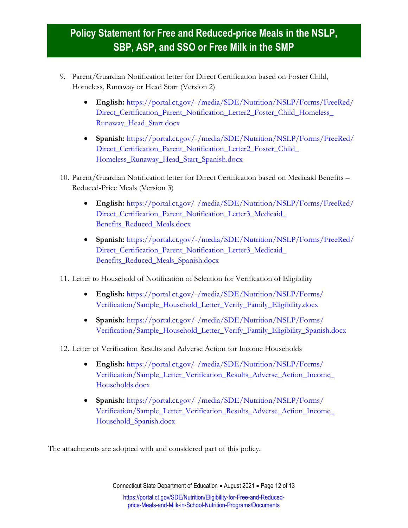- 9. Parent/Guardian Notification letter for Direct Certification based on Foster Child, Homeless, Runaway or Head Start (Version 2)
	- **English:** [https://portal.ct.gov/-/media/SDE/Nutrition/NSLP/Forms/FreeRed/](https://portal.ct.gov/-/media/SDE/Nutrition/NSLP/Forms/FreeRed/‌Direct_Certification_Parent_Notification_Letter2_Foster_Child_Homeless_‌Runaway_Head_Start.docx) Direct Certification Parent Notification Letter2 Foster Child Homeless [Runaway\\_Head\\_Start.docx](https://portal.ct.gov/-/media/SDE/Nutrition/NSLP/Forms/FreeRed/‌Direct_Certification_Parent_Notification_Letter2_Foster_Child_Homeless_‌Runaway_Head_Start.docx)
	- **Spanish:** [https://portal.ct.gov/-/media/SDE/Nutrition/NSLP/Forms/FreeRed/](https://portal.ct.gov/-/media/SDE/Nutrition/NSLP/Forms/FreeRed/‌Direct_Certification_Parent_Notification_Letter2_Foster_Child_‌Homeless_Runaway_Head_Start_Spanish.docx) [Direct\\_Certification\\_Parent\\_Notification\\_Letter2\\_Foster\\_Child\\_](https://portal.ct.gov/-/media/SDE/Nutrition/NSLP/Forms/FreeRed/‌Direct_Certification_Parent_Notification_Letter2_Foster_Child_‌Homeless_Runaway_Head_Start_Spanish.docx) [Homeless\\_Runaway\\_Head\\_Start\\_Spanish.docx](https://portal.ct.gov/-/media/SDE/Nutrition/NSLP/Forms/FreeRed/‌Direct_Certification_Parent_Notification_Letter2_Foster_Child_‌Homeless_Runaway_Head_Start_Spanish.docx)
- 10. Parent/Guardian Notification letter for Direct Certification based on Medicaid Benefits Reduced-Price Meals (Version 3)
	- **English:** [https://portal.ct.gov/-/media/SDE/Nutrition/NSLP/Forms/FreeRed/](https://portal.ct.gov/-/media/SDE/Nutrition/NSLP/Forms/FreeRed/‌Direct_Certification_Parent_Notification_Letter3_Medicaid_‌Benefits_Reduced_Meals.docx) Direct Certification Parent Notification Letter3 Medicaid [Benefits\\_Reduced\\_Meals.docx](https://portal.ct.gov/-/media/SDE/Nutrition/NSLP/Forms/FreeRed/‌Direct_Certification_Parent_Notification_Letter3_Medicaid_‌Benefits_Reduced_Meals.docx)
	- **Spanish:** [https://portal.ct.gov/-/media/SDE/Nutrition/NSLP/Forms/FreeRed/](https://portal.ct.gov/-/media/SDE/Nutrition/NSLP/Forms/FreeRed/‌Direct_Certification_Parent_Notification_Letter3_Medicaid_‌Benefits_Reduced_Meals_Spanish.docx) Direct Certification Parent Notification Letter3 Medicaid [Benefits\\_Reduced\\_Meals\\_Spanish.docx](https://portal.ct.gov/-/media/SDE/Nutrition/NSLP/Forms/FreeRed/‌Direct_Certification_Parent_Notification_Letter3_Medicaid_‌Benefits_Reduced_Meals_Spanish.docx)

11. Letter to Household of Notification of Selection for Verification of Eligibility

- **English:** [https://portal.ct.gov/-/media/SDE/Nutrition/NSLP/Forms/](https://portal.ct.gov/-/media/SDE/Nutrition/NSLP/Forms/‌Verification/Sample_Household_Letter_Verify_Family_Eligibility.docx) [Verification/Sample\\_Household\\_Letter\\_Verify\\_Family\\_Eligibility.docx](https://portal.ct.gov/-/media/SDE/Nutrition/NSLP/Forms/‌Verification/Sample_Household_Letter_Verify_Family_Eligibility.docx)
- **Spanish:** [https://portal.ct.gov/-/media/SDE/Nutrition/NSLP/Forms/](https://portal.ct.gov/-/media/SDE/Nutrition/NSLP/Forms/‌Verification/Sample_Household_Letter_Verify_Family_Eligibility_Spanish.docx) [Verification/Sample\\_Household\\_Letter\\_Verify\\_Family\\_Eligibility\\_Spanish.docx](https://portal.ct.gov/-/media/SDE/Nutrition/NSLP/Forms/‌Verification/Sample_Household_Letter_Verify_Family_Eligibility_Spanish.docx)
- 12. Letter of Verification Results and Adverse Action for Income Households
	- **English:** [https://portal.ct.gov/-/media/SDE/Nutrition/NSLP/Forms/](https://portal.ct.gov/-/media/SDE/Nutrition/NSLP/‌Forms/Verification/Sample_Letter_Verification_Results_Adverse_Action_Income_‌Households.docx) [Verification/Sample\\_Letter\\_Verification\\_Results\\_Adverse\\_Action\\_Income\\_](https://portal.ct.gov/-/media/SDE/Nutrition/NSLP/‌Forms/Verification/Sample_Letter_Verification_Results_Adverse_Action_Income_‌Households.docx) [Households.docx](https://portal.ct.gov/-/media/SDE/Nutrition/NSLP/‌Forms/Verification/Sample_Letter_Verification_Results_Adverse_Action_Income_‌Households.docx)
	- **Spanish:** [https://portal.ct.gov/-/media/SDE/Nutrition/NSLP/Forms/](https://portal.ct.gov/-/media/SDE/Nutrition/NSLP/‌Forms/Verification/Sample_Letter_Verification_Results_Adverse_Action_Income_‌Household_Spanish.docx) [Verification/Sample\\_Letter\\_Verification\\_Results\\_Adverse\\_Action\\_Income\\_](https://portal.ct.gov/-/media/SDE/Nutrition/NSLP/‌Forms/Verification/Sample_Letter_Verification_Results_Adverse_Action_Income_‌Household_Spanish.docx) [Household\\_Spanish.docx](https://portal.ct.gov/-/media/SDE/Nutrition/NSLP/‌Forms/Verification/Sample_Letter_Verification_Results_Adverse_Action_Income_‌Household_Spanish.docx)

The attachments are adopted with and considered part of this policy.